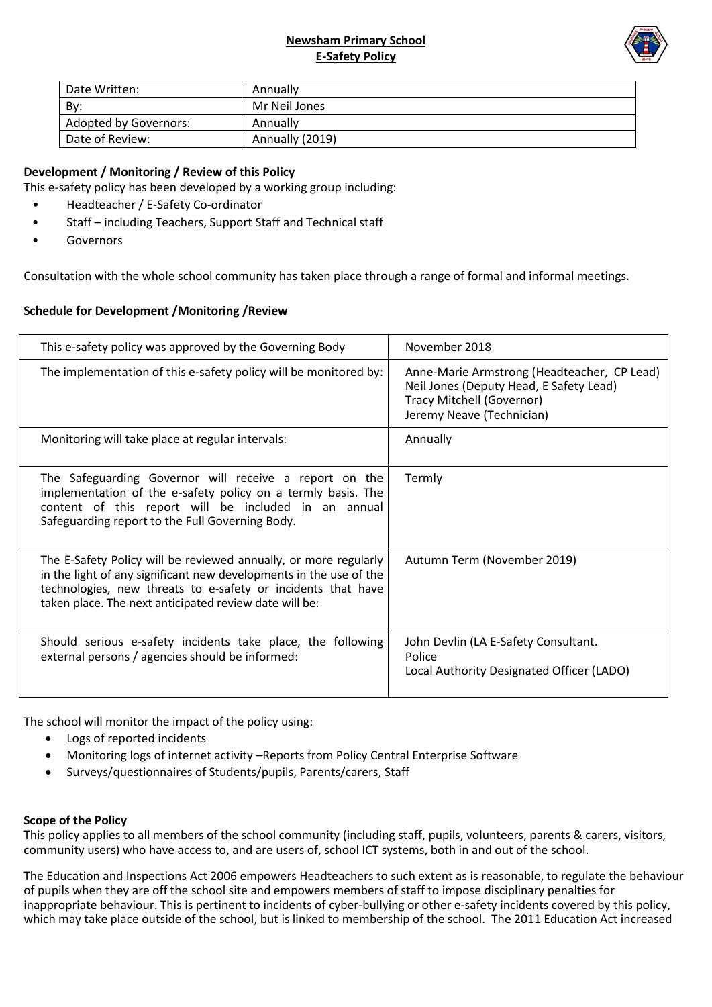## **Newsham Primary School E-Safety Policy**



| Date Written:         | Annually        |
|-----------------------|-----------------|
| By:                   | Mr Neil Jones   |
| Adopted by Governors: | Annually        |
| Date of Review:       | Annually (2019) |

# **Development / Monitoring / Review of this Policy**

This e-safety policy has been developed by a working group including:

- *•* Headteacher / E-Safety Co-ordinator
- Staff including Teachers, Support Staff and Technical staff
- **Governors**

Consultation with the whole school community has taken place through a range of formal and informal meetings.

### **Schedule for Development /Monitoring /Review**

| This e-safety policy was approved by the Governing Body                                                                                                                                                                                                          | November 2018                                                                                                                                           |
|------------------------------------------------------------------------------------------------------------------------------------------------------------------------------------------------------------------------------------------------------------------|---------------------------------------------------------------------------------------------------------------------------------------------------------|
| The implementation of this e-safety policy will be monitored by:                                                                                                                                                                                                 | Anne-Marie Armstrong (Headteacher, CP Lead)<br>Neil Jones (Deputy Head, E Safety Lead)<br><b>Tracy Mitchell (Governor)</b><br>Jeremy Neave (Technician) |
| Monitoring will take place at regular intervals:                                                                                                                                                                                                                 | Annually                                                                                                                                                |
| The Safeguarding Governor will receive a report on the<br>implementation of the e-safety policy on a termly basis. The<br>content of this report will be included in an annual<br>Safeguarding report to the Full Governing Body.                                | Termly                                                                                                                                                  |
| The E-Safety Policy will be reviewed annually, or more regularly<br>in the light of any significant new developments in the use of the<br>technologies, new threats to e-safety or incidents that have<br>taken place. The next anticipated review date will be: | Autumn Term (November 2019)                                                                                                                             |
| Should serious e-safety incidents take place, the following<br>external persons / agencies should be informed:                                                                                                                                                   | John Devlin (LA E-Safety Consultant.<br>Police<br>Local Authority Designated Officer (LADO)                                                             |

The school will monitor the impact of the policy using:

- Logs of reported incidents
- Monitoring logs of internet activity –Reports from Policy Central Enterprise Software
- Surveys/questionnaires of Students/pupils, Parents/carers, Staff

#### **Scope of the Policy**

This policy applies to all members of the school community (including staff, pupils, volunteers, parents & carers, visitors, community users) who have access to, and are users of, school ICT systems, both in and out of the school.

The Education and Inspections Act 2006 empowers Headteachers to such extent as is reasonable, to regulate the behaviour of pupils when they are off the school site and empowers members of staff to impose disciplinary penalties for inappropriate behaviour. This is pertinent to incidents of cyber-bullying or other e-safety incidents covered by this policy, which may take place outside of the school, but is linked to membership of the school. The 2011 Education Act increased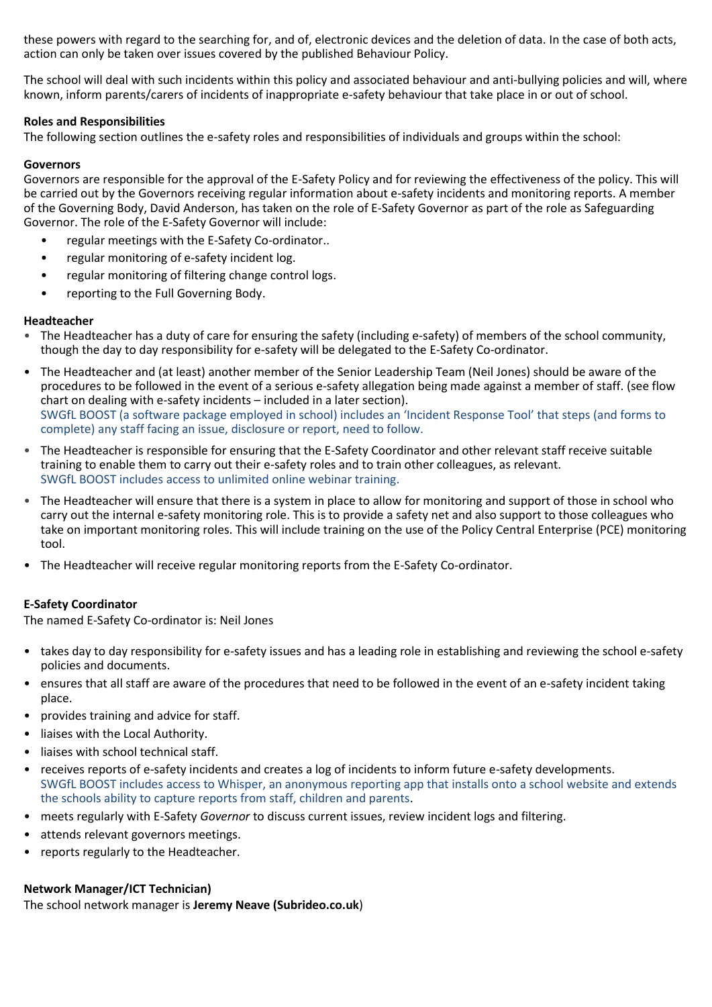these powers with regard to the searching for, and of, electronic devices and the deletion of data. In the case of both acts, action can only be taken over issues covered by the published Behaviour Policy.

The school will deal with such incidents within this policy and associated behaviour and anti-bullying policies and will, where known, inform parents/carers of incidents of inappropriate e-safety behaviour that take place in or out of school.

## **Roles and Responsibilities**

The following section outlines the e-safety roles and responsibilities of individuals and groups within the school:

#### **Governors**

Governors are responsible for the approval of the E-Safety Policy and for reviewing the effectiveness of the policy. This will be carried out by the Governors receiving regular information about e-safety incidents and monitoring reports. A member of the Governing Body, David Anderson, has taken on the role of E-Safety Governor as part of the role as Safeguarding Governor. The role of the E-Safety Governor will include:

- regular meetings with the E-Safety Co-ordinator..
- regular monitoring of e-safety incident log.
- regular monitoring of filtering change control logs.
- reporting to the Full Governing Body.

#### **Headteacher**

- The Headteacher has a duty of care for ensuring the safety (including e-safety) of members of the school community, though the day to day responsibility for e-safety will be delegated to the E-Safety Co-ordinator.
- The Headteacher and (at least) another member of the Senior Leadership Team (Neil Jones) should be aware of the procedures to be followed in the event of a serious e-safety allegation being made against a member of staff. (see flow chart on dealing with e-safety incidents – included in a later section). SWGfL BOOST (a software package employed in school) includes an 'Incident Response Tool' that steps (and forms to complete) any staff facing an issue, disclosure or report, need to follow.
- The Headteacher is responsible for ensuring that the E-Safety Coordinator and other relevant staff receive suitable training to enable them to carry out their e-safety roles and to train other colleagues, as relevant. SWGfL BOOST includes access to unlimited online webinar training.
- The Headteacher will ensure that there is a system in place to allow for monitoring and support of those in school who carry out the internal e-safety monitoring role. This is to provide a safety net and also support to those colleagues who take on important monitoring roles. This will include training on the use of the Policy Central Enterprise (PCE) monitoring tool.
- The Headteacher will receive regular monitoring reports from the E-Safety Co-ordinator.

#### **E-Safety Coordinator**

The named E-Safety Co-ordinator is: Neil Jones

- takes day to day responsibility for e-safety issues and has a leading role in establishing and reviewing the school e-safety policies and documents.
- ensures that all staff are aware of the procedures that need to be followed in the event of an e-safety incident taking place.
- provides training and advice for staff.
- liaises with the Local Authority.
- liaises with school technical staff.
- receives reports of e-safety incidents and creates a log of incidents to inform future e-safety developments. SWGfL BOOST includes access to Whisper, an anonymous reporting app that installs onto a school website and extends the schools ability to capture reports from staff, children and parents.
- meets regularly with E-Safety *Governor* to discuss current issues, review incident logs and filtering.
- attends relevant governors meetings.
- reports regularly to the Headteacher.

#### **Network Manager/ICT Technician)**

The school network manager is **Jeremy Neave (Subrideo.co.uk**)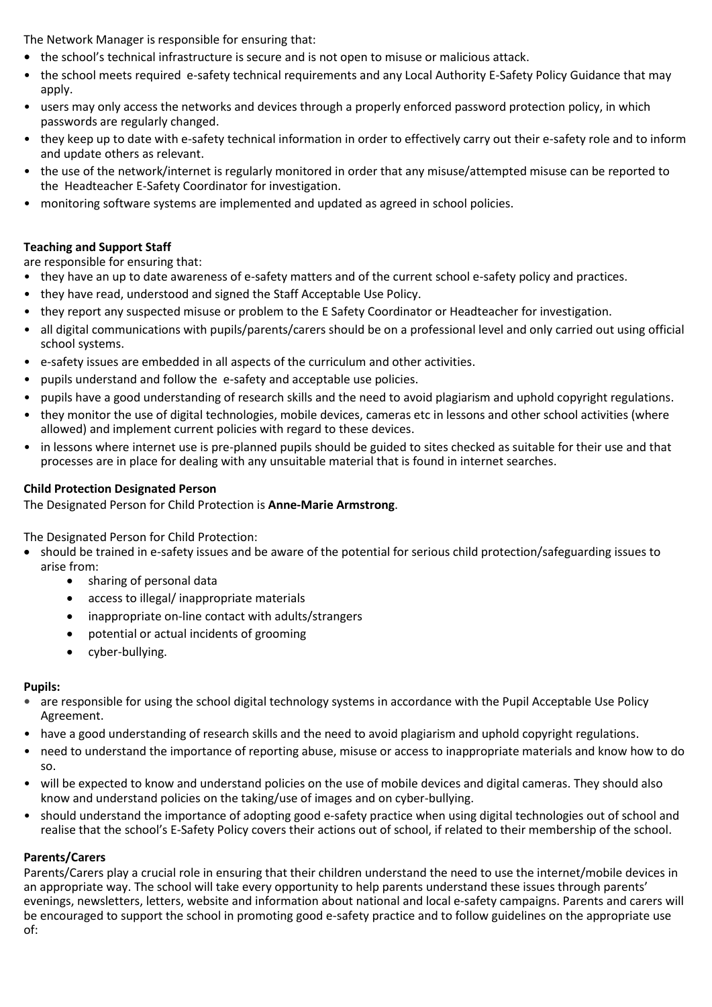The Network Manager is responsible for ensuring that:

- **•** the school's technical infrastructure is secure and is not open to misuse or malicious attack.
- the school meets required e-safety technical requirements and any Local Authority E-Safety Policy Guidance that may apply.
- users may only access the networks and devices through a properly enforced password protection policy, in which passwords are regularly changed.
- they keep up to date with e-safety technical information in order to effectively carry out their e-safety role and to inform and update others as relevant.
- the use of the network/internet is regularly monitored in order that any misuse/attempted misuse can be reported to the Headteacher E-Safety Coordinator for investigation.
- monitoring software systems are implemented and updated as agreed in school policies.

### **Teaching and Support Staff**

are responsible for ensuring that:

- they have an up to date awareness of e-safety matters and of the current school e-safety policy and practices.
- they have read, understood and signed the Staff Acceptable Use Policy.
- they report any suspected misuse or problem to the E Safety Coordinator or Headteacher for investigation.
- all digital communications with pupils/parents/carers should be on a professional level and only carried out using official school systems.
- e-safety issues are embedded in all aspects of the curriculum and other activities.
- pupils understand and follow the e-safety and acceptable use policies.
- pupils have a good understanding of research skills and the need to avoid plagiarism and uphold copyright regulations.
- they monitor the use of digital technologies, mobile devices, cameras etc in lessons and other school activities (where allowed) and implement current policies with regard to these devices.
- in lessons where internet use is pre-planned pupils should be guided to sites checked as suitable for their use and that processes are in place for dealing with any unsuitable material that is found in internet searches.

### **Child Protection Designated Person**

The Designated Person for Child Protection is **Anne-Marie Armstrong**.

The Designated Person for Child Protection:

- should be trained in e-safety issues and be aware of the potential for serious child protection/safeguarding issues to arise from:
	- sharing of personal data
	- access to illegal/ inappropriate materials
	- inappropriate on-line contact with adults/strangers
	- potential or actual incidents of grooming
	- cyber-bullying.

#### **Pupils:**

- **•** are responsible for using the school digital technology systems in accordance with the Pupil Acceptable Use Policy Agreement.
- have a good understanding of research skills and the need to avoid plagiarism and uphold copyright regulations.
- need to understand the importance of reporting abuse, misuse or access to inappropriate materials and know how to do so.
- will be expected to know and understand policies on the use of mobile devices and digital cameras. They should also know and understand policies on the taking/use of images and on cyber-bullying.
- should understand the importance of adopting good e-safety practice when using digital technologies out of school and realise that the school's E-Safety Policy covers their actions out of school, if related to their membership of the school.

## **Parents/Carers**

Parents/Carers play a crucial role in ensuring that their children understand the need to use the internet/mobile devices in an appropriate way. The school will take every opportunity to help parents understand these issues through parents' evenings, newsletters, letters, website and information about national and local e-safety campaigns. Parents and carers will be encouraged to support the school in promoting good e-safety practice and to follow guidelines on the appropriate use of: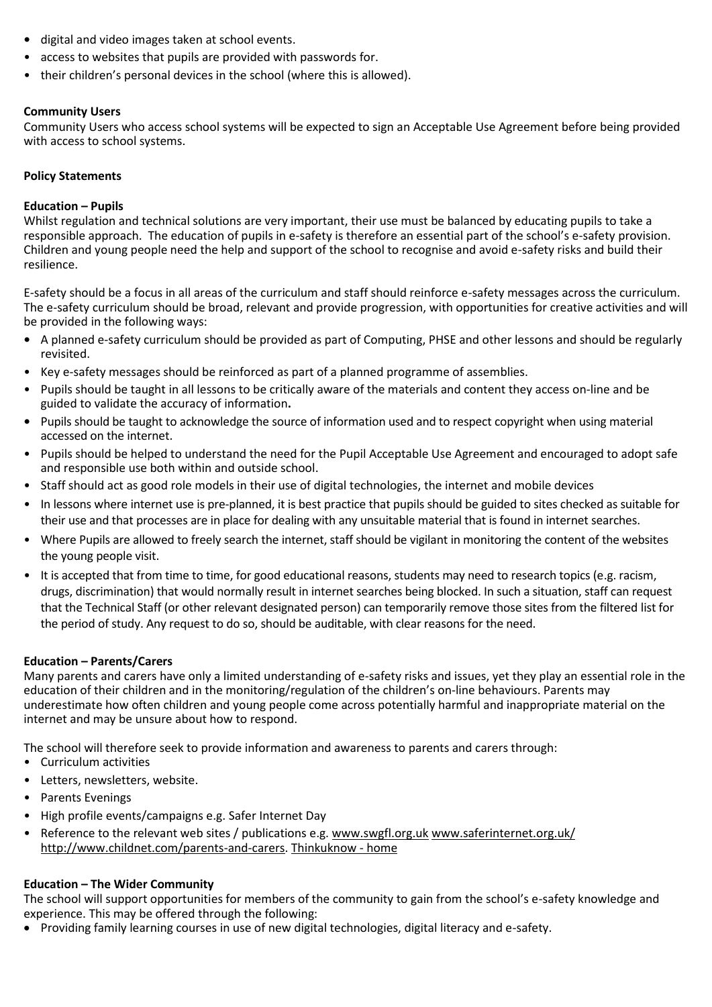- **•** digital and video images taken at school events.
- access to websites that pupils are provided with passwords for.
- their children's personal devices in the school (where this is allowed).

# **Community Users**

Community Users who access school systems will be expected to sign an Acceptable Use Agreement before being provided with access to school systems.

# **Policy Statements**

# **Education – Pupils**

Whilst regulation and technical solutions are very important, their use must be balanced by educating pupils to take a responsible approach. The education of pupils in e-safety is therefore an essential part of the school's e-safety provision. Children and young people need the help and support of the school to recognise and avoid e-safety risks and build their resilience.

E-safety should be a focus in all areas of the curriculum and staff should reinforce e-safety messages across the curriculum. The e-safety curriculum should be broad, relevant and provide progression, with opportunities for creative activities and will be provided in the following ways:

- **•** A planned e-safety curriculum should be provided as part of Computing, PHSE and other lessons and should be regularly revisited.
- Key e-safety messages should be reinforced as part of a planned programme of assemblies.
- Pupils should be taught in all lessons to be critically aware of the materials and content they access on-line and be guided to validate the accuracy of information**.**
- **•** Pupils should be taught to acknowledge the source of information used and to respect copyright when using material accessed on the internet.
- Pupils should be helped to understand the need for the Pupil Acceptable Use Agreement and encouraged to adopt safe and responsible use both within and outside school.
- Staff should act as good role models in their use of digital technologies, the internet and mobile devices
- In lessons where internet use is pre-planned, it is best practice that pupils should be guided to sites checked as suitable for their use and that processes are in place for dealing with any unsuitable material that is found in internet searches.
- Where Pupils are allowed to freely search the internet, staff should be vigilant in monitoring the content of the websites the young people visit.
- It is accepted that from time to time, for good educational reasons, students may need to research topics (e.g. racism, drugs, discrimination) that would normally result in internet searches being blocked. In such a situation, staff can request that the Technical Staff (or other relevant designated person) can temporarily remove those sites from the filtered list for the period of study. Any request to do so, should be auditable, with clear reasons for the need.

# **Education – Parents/Carers**

Many parents and carers have only a limited understanding of e-safety risks and issues, yet they play an essential role in the education of their children and in the monitoring/regulation of the children's on-line behaviours. Parents may underestimate how often children and young people come across potentially harmful and inappropriate material on the internet and may be unsure about how to respond.

The school will therefore seek to provide information and awareness to parents and carers through:

- Curriculum activities
- Letters, newsletters, website.
- Parents Evenings
- High profile events/campaigns e.g. Safer Internet Day
- Reference to the relevant web sites / publications e.g. [www.swgfl.org.uk](http://www.swgfl.org.uk/) [www.saferinternet.org.uk/](http://www.saferinternet.org.uk/)  [http://www.childnet.com/parents-and-carers.](http://www.childnet.com/parents-and-carers) [Thinkuknow -](https://www.thinkuknow.co.uk/) home

# **Education – The Wider Community**

The school will support opportunities for members of the community to gain from the school's e-safety knowledge and experience. This may be offered through the following:

• Providing family learning courses in use of new digital technologies, digital literacy and e-safety.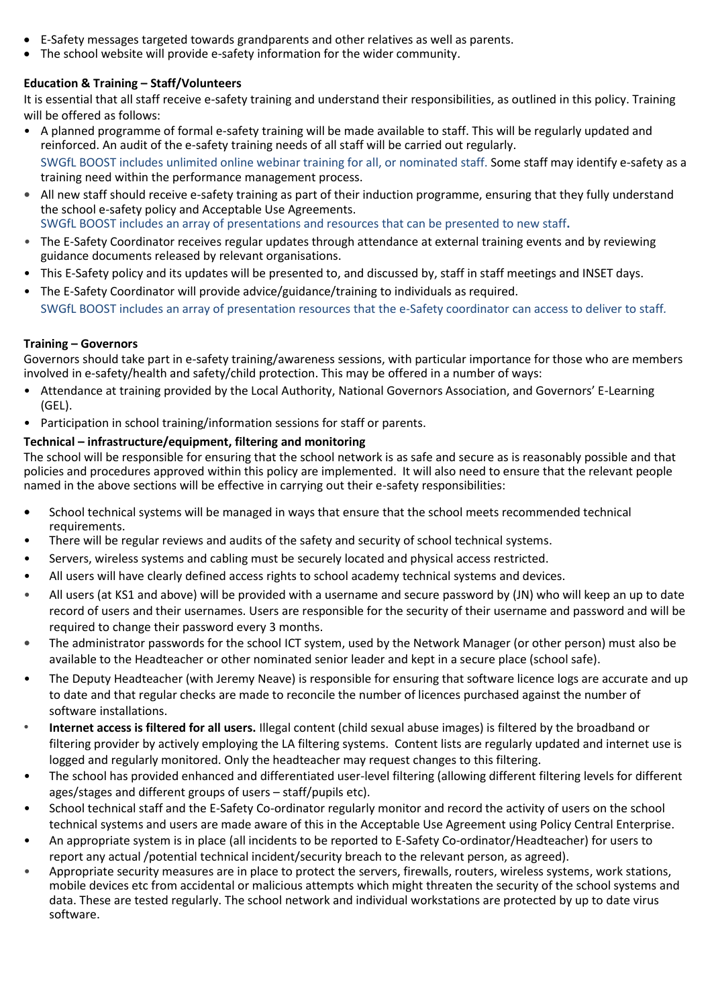- E-Safety messages targeted towards grandparents and other relatives as well as parents.
- The school website will provide e-safety information for the wider community.

# **Education & Training – Staff/Volunteers**

It is essential that all staff receive e-safety training and understand their responsibilities, as outlined in this policy. Training will be offered as follows:

- A planned programme of formal e-safety training will be made available to staff. This will be regularly updated and reinforced. An audit of the e-safety training needs of all staff will be carried out regularly. SWGfL BOOST includes unlimited online webinar training for all, or nominated staff. Some staff may identify e-safety as a training need within the performance management process.
- **•** All new staff should receive e-safety training as part of their induction programme, ensuring that they fully understand the school e-safety policy and Acceptable Use Agreements. SWGfL BOOST includes an array of presentations and resources that can be presented to new staff**.**
- *•* The E-Safety Coordinator receives regular updates through attendance at external training events and by reviewing guidance documents released by relevant organisations.
- This E-Safety policy and its updates will be presented to, and discussed by, staff in staff meetings and INSET days.
- The E-Safety Coordinator will provide advice/guidance/training to individuals as required. SWGfL BOOST includes an array of presentation resources that the e-Safety coordinator can access to deliver to staff*.*

## **Training – Governors**

Governors should take part in e-safety training/awareness sessions, with particular importance for those who are members involved in e-safety/health and safety/child protection. This may be offered in a number of ways:

- Attendance at training provided by the Local Authority, National Governors Association, and Governors' E-Learning (GEL).
- Participation in school training/information sessions for staff or parents.

# **Technical – infrastructure/equipment, filtering and monitoring**

The school will be responsible for ensuring that the school network is as safe and secure as is reasonably possible and that policies and procedures approved within this policy are implemented. It will also need to ensure that the relevant people named in the above sections will be effective in carrying out their e-safety responsibilities:

- **•** School technical systems will be managed in ways that ensure that the school meets recommended technical requirements.
- There will be regular reviews and audits of the safety and security of school technical systems.
- Servers, wireless systems and cabling must be securely located and physical access restricted.
- All users will have clearly defined access rights to school academy technical systems and devices.
- All users (at KS1 and above) will be provided with a username and secure password by (JN) who will keep an up to date record of users and their usernames. Users are responsible for the security of their username and password and will be required to change their password every 3 months.
- **•** The administrator passwords for the school ICT system, used by the Network Manager (or other person) must also be available to the Headteacher or other nominated senior leader and kept in a secure place (school safe).
- The Deputy Headteacher (with Jeremy Neave) is responsible for ensuring that software licence logs are accurate and up to date and that regular checks are made to reconcile the number of licences purchased against the number of software installations.
- *•* **Internet access is filtered for all users.** Illegal content (child sexual abuse images) is filtered by the broadband or filtering provider by actively employing the LA filtering systems. Content lists are regularly updated and internet use is logged and regularly monitored. Only the headteacher may request changes to this filtering.
- The school has provided enhanced and differentiated user-level filtering (allowing different filtering levels for different ages/stages and different groups of users – staff/pupils etc).
- School technical staff and the E-Safety Co-ordinator regularly monitor and record the activity of users on the school technical systems and users are made aware of this in the Acceptable Use Agreement using Policy Central Enterprise.
- An appropriate system is in place (all incidents to be reported to E-Safety Co-ordinator/Headteacher) for users to report any actual /potential technical incident/security breach to the relevant person, as agreed).
- Appropriate security measures are in place to protect the servers, firewalls, routers, wireless systems, work stations, mobile devices etc from accidental or malicious attempts which might threaten the security of the school systems and data. These are tested regularly. The school network and individual workstations are protected by up to date virus software.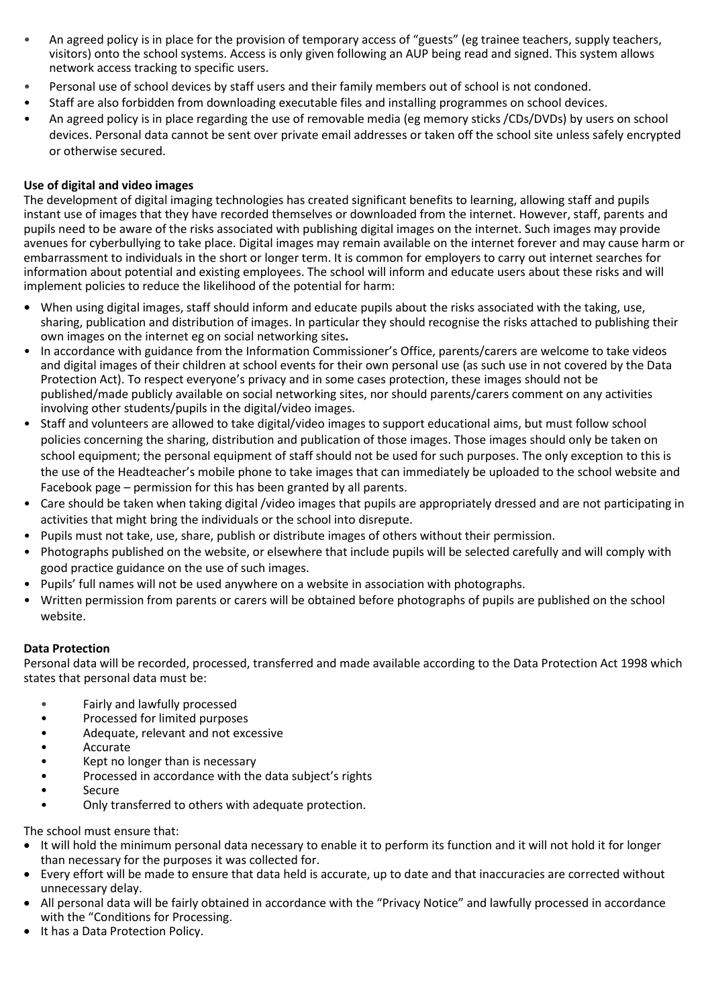- An agreed policy is in place for the provision of temporary access of "guests" (eg trainee teachers, supply teachers, visitors) onto the school systems. Access is only given following an AUP being read and signed. This system allows network access tracking to specific users.
- Personal use of school devices by staff users and their family members out of school is not condoned.
- Staff are also forbidden from downloading executable files and installing programmes on school devices.
- An agreed policy is in place regarding the use of removable media (eg memory sticks /CDs/DVDs) by users on school devices. Personal data cannot be sent over private email addresses or taken off the school site unless safely encrypted or otherwise secured.

## **Use of digital and video images**

The development of digital imaging technologies has created significant benefits to learning, allowing staff and pupils instant use of images that they have recorded themselves or downloaded from the internet. However, staff, parents and pupils need to be aware of the risks associated with publishing digital images on the internet. Such images may provide avenues for cyberbullying to take place. Digital images may remain available on the internet forever and may cause harm or embarrassment to individuals in the short or longer term. It is common for employers to carry out internet searches for information about potential and existing employees. The school will inform and educate users about these risks and will implement policies to reduce the likelihood of the potential for harm:

- **•** When using digital images, staff should inform and educate pupils about the risks associated with the taking, use, sharing, publication and distribution of images. In particular they should recognise the risks attached to publishing their own images on the internet eg on social networking sites**.**
- In accordance with guidance from the Information Commissioner's Office, parents/carers are welcome to take videos and digital images of their children at school events for their own personal use (as such use in not covered by the Data Protection Act). To respect everyone's privacy and in some cases protection, these images should not be published/made publicly available on social networking sites, nor should parents/carers comment on any activities involving other students/pupils in the digital/video images.
- Staff and volunteers are allowed to take digital/video images to support educational aims, but must follow school policies concerning the sharing, distribution and publication of those images. Those images should only be taken on school equipment; the personal equipment of staff should not be used for such purposes. The only exception to this is the use of the Headteacher's mobile phone to take images that can immediately be uploaded to the school website and Facebook page – permission for this has been granted by all parents.
- Care should be taken when taking digital /video images that pupils are appropriately dressed and are not participating in activities that might bring the individuals or the school into disrepute.
- Pupils must not take, use, share, publish or distribute images of others without their permission.
- Photographs published on the website, or elsewhere that include pupils will be selected carefully and will comply with good practice guidance on the use of such images.
- Pupils' full names will not be used anywhere on a website in association with photographs.
- Written permission from parents or carers will be obtained before photographs of pupils are published on the school website.

## **Data Protection**

Personal data will be recorded, processed, transferred and made available according to the Data Protection Act 1998 which states that personal data must be:

- Fairly and lawfully processed
- Processed for limited purposes
- Adequate, relevant and not excessive
- Accurate
- Kept no longer than is necessary
- Processed in accordance with the data subject's rights
- Secure
- Only transferred to others with adequate protection.

The school must ensure that:

- It will hold the minimum personal data necessary to enable it to perform its function and it will not hold it for longer than necessary for the purposes it was collected for.
- Every effort will be made to ensure that data held is accurate, up to date and that inaccuracies are corrected without unnecessary delay.
- All personal data will be fairly obtained in accordance with the "Privacy Notice" and lawfully processed in accordance with the "Conditions for Processing.
- It has a Data Protection Policy.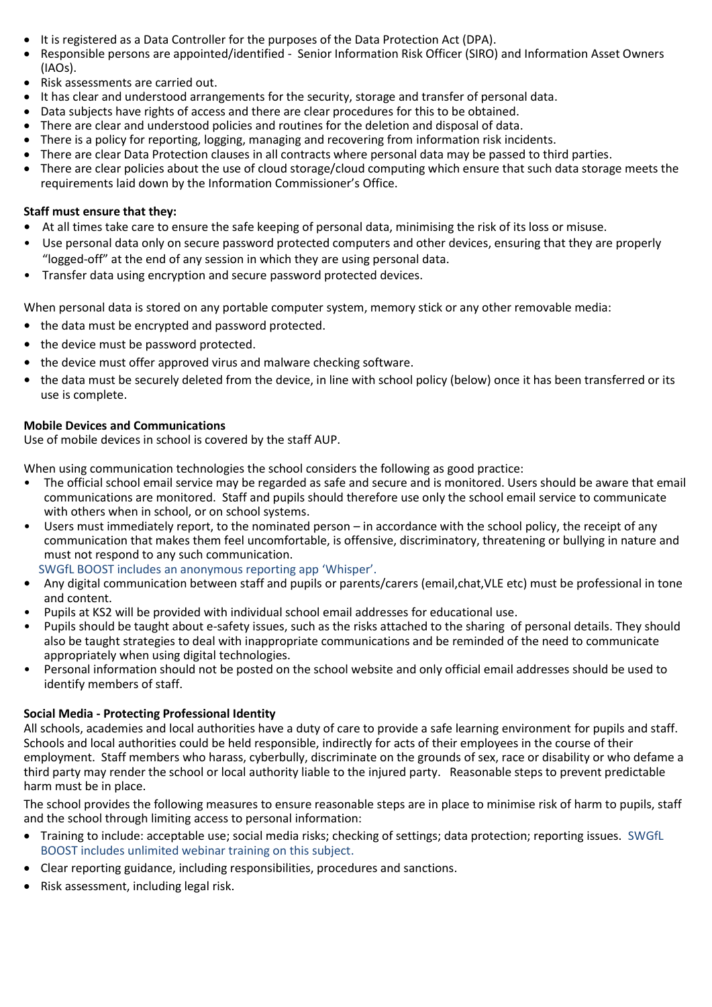- It is registered as a Data Controller for the purposes of the Data Protection Act (DPA).
- Responsible persons are appointed/identified Senior Information Risk Officer (SIRO) and Information Asset Owners (IAOs).
- Risk assessments are carried out.
- It has clear and understood arrangements for the security, storage and transfer of personal data.
- Data subjects have rights of access and there are clear procedures for this to be obtained.
- There are clear and understood policies and routines for the deletion and disposal of data.
- There is a policy for reporting, logging, managing and recovering from information risk incidents.
- There are clear Data Protection clauses in all contracts where personal data may be passed to third parties.
- There are clear policies about the use of cloud storage/cloud computing which ensure that such data storage meets the requirements laid down by the Information Commissioner's Office.

#### **Staff must ensure that they:**

- **•** At all times take care to ensure the safe keeping of personal data, minimising the risk of its loss or misuse.
- Use personal data only on secure password protected computers and other devices, ensuring that they are properly "logged-off" at the end of any session in which they are using personal data.
- Transfer data using encryption and secure password protected devices.

When personal data is stored on any portable computer system, memory stick or any other removable media:

- **•** the data must be encrypted and password protected.
- **•** the device must be password protected.
- **•** the device must offer approved virus and malware checking software.
- **•** the data must be securely deleted from the device, in line with school policy (below) once it has been transferred or its use is complete.

### **Mobile Devices and Communications**

Use of mobile devices in school is covered by the staff AUP.

When using communication technologies the school considers the following as good practice:

- The official school email service may be regarded as safe and secure and is monitored. Users should be aware that email communications are monitored. Staff and pupils should therefore use only the school email service to communicate with others when in school, or on school systems.
- Users must immediately report, to the nominated person in accordance with the school policy, the receipt of any communication that makes them feel uncomfortable, is offensive, discriminatory, threatening or bullying in nature and must not respond to any such communication.
- SWGfL BOOST includes an anonymous reporting app 'Whisper'.
- **•** Any digital communication between staff and pupils or parents/carers (email,chat,VLE etc) must be professional in tone and content.
- Pupils at KS2 will be provided with individual school email addresses for educational use.
- Pupils should be taught about e-safety issues, such as the risks attached to the sharing of personal details. They should also be taught strategies to deal with inappropriate communications and be reminded of the need to communicate appropriately when using digital technologies.
- Personal information should not be posted on the school website and only official email addresses should be used to identify members of staff.

## **Social Media - Protecting Professional Identity**

All schools, academies and local authorities have a duty of care to provide a safe learning environment for pupils and staff. Schools and local authorities could be held responsible, indirectly for acts of their employees in the course of their employment. Staff members who harass, cyberbully, discriminate on the grounds of sex, race or disability or who defame a third party may render the school or local authority liable to the injured party. Reasonable steps to prevent predictable harm must be in place.

The school provides the following measures to ensure reasonable steps are in place to minimise risk of harm to pupils, staff and the school through limiting access to personal information:

- Training to include: acceptable use; social media risks; checking of settings; data protection; reporting issues. SWGfL BOOST includes unlimited webinar training on this subject.
- Clear reporting guidance, including responsibilities, procedures and sanctions.
- Risk assessment, including legal risk.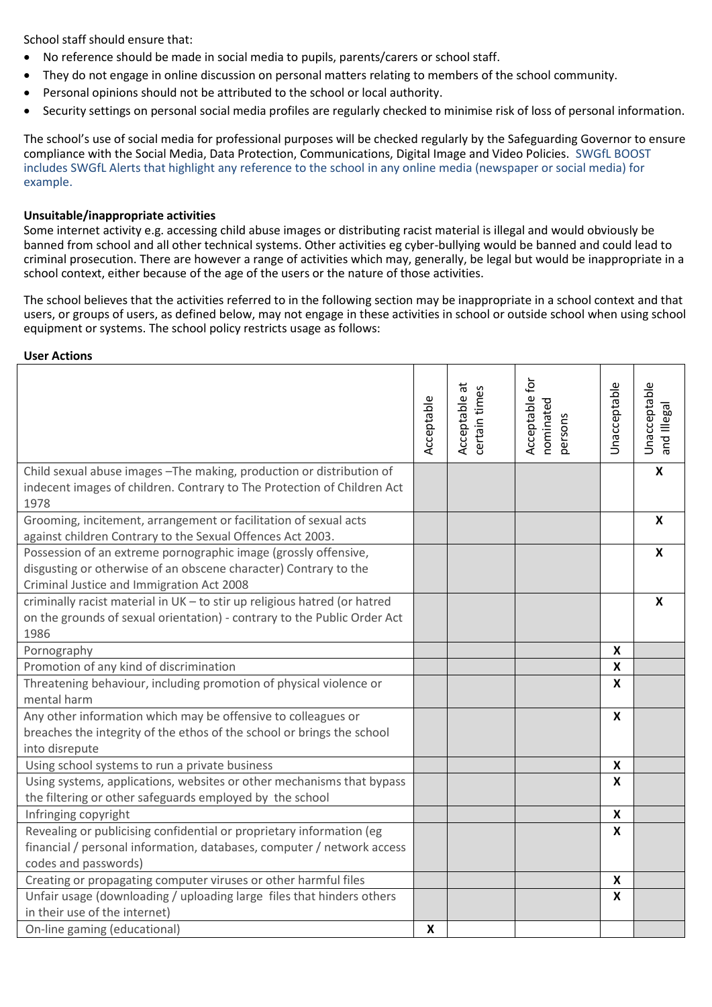School staff should ensure that:

- No reference should be made in social media to pupils, parents/carers or school staff.
- They do not engage in online discussion on personal matters relating to members of the school community.
- Personal opinions should not be attributed to the school or local authority.
- Security settings on personal social media profiles are regularly checked to minimise risk of loss of personal information.

The school's use of social media for professional purposes will be checked regularly by the Safeguarding Governor to ensure compliance with the Social Media, Data Protection, Communications, Digital Image and Video Policies. SWGfL BOOST includes SWGfL Alerts that highlight any reference to the school in any online media (newspaper or social media) for example.

#### **Unsuitable/inappropriate activities**

Some internet activity e.g. accessing child abuse images or distributing racist material is illegal and would obviously be banned from school and all other technical systems. Other activities eg cyber-bullying would be banned and could lead to criminal prosecution. There are however a range of activities which may, generally, be legal but would be inappropriate in a school context, either because of the age of the users or the nature of those activities.

The school believes that the activities referred to in the following section may be inappropriate in a school context and that users, or groups of users, as defined below, may not engage in these activities in school or outside school when using school equipment or systems. The school policy restricts usage as follows:

#### **User Actions**

|                                                                                                                                                                                  | Acceptable | $\vec{a}$<br>certain times<br>Acceptable | Acceptable for<br>nominated<br>persons | Unacceptable              | Unacceptable<br>and Illegal |
|----------------------------------------------------------------------------------------------------------------------------------------------------------------------------------|------------|------------------------------------------|----------------------------------------|---------------------------|-----------------------------|
| Child sexual abuse images - The making, production or distribution of<br>indecent images of children. Contrary to The Protection of Children Act<br>1978                         |            |                                          |                                        |                           | $\boldsymbol{\mathsf{X}}$   |
| Grooming, incitement, arrangement or facilitation of sexual acts<br>against children Contrary to the Sexual Offences Act 2003.                                                   |            |                                          |                                        |                           | X                           |
| Possession of an extreme pornographic image (grossly offensive,<br>disgusting or otherwise of an obscene character) Contrary to the<br>Criminal Justice and Immigration Act 2008 |            |                                          |                                        |                           | X                           |
| criminally racist material in UK - to stir up religious hatred (or hatred<br>on the grounds of sexual orientation) - contrary to the Public Order Act<br>1986                    |            |                                          |                                        |                           | $\boldsymbol{x}$            |
| Pornography                                                                                                                                                                      |            |                                          |                                        | $\boldsymbol{\mathsf{X}}$ |                             |
| Promotion of any kind of discrimination                                                                                                                                          |            |                                          |                                        | X                         |                             |
| Threatening behaviour, including promotion of physical violence or<br>mental harm                                                                                                |            |                                          |                                        | $\mathbf{x}$              |                             |
| Any other information which may be offensive to colleagues or<br>breaches the integrity of the ethos of the school or brings the school<br>into disrepute                        |            |                                          |                                        | $\boldsymbol{x}$          |                             |
| Using school systems to run a private business                                                                                                                                   |            |                                          |                                        | X                         |                             |
| Using systems, applications, websites or other mechanisms that bypass<br>the filtering or other safeguards employed by the school                                                |            |                                          |                                        | $\boldsymbol{x}$          |                             |
| Infringing copyright                                                                                                                                                             |            |                                          |                                        | $\boldsymbol{\mathsf{X}}$ |                             |
| Revealing or publicising confidential or proprietary information (eg<br>financial / personal information, databases, computer / network access<br>codes and passwords)           |            |                                          |                                        | $\mathbf{x}$              |                             |
| Creating or propagating computer viruses or other harmful files                                                                                                                  |            |                                          |                                        | $\boldsymbol{\mathsf{X}}$ |                             |
| Unfair usage (downloading / uploading large files that hinders others<br>in their use of the internet)                                                                           |            |                                          |                                        | X                         |                             |
| On-line gaming (educational)                                                                                                                                                     | X          |                                          |                                        |                           |                             |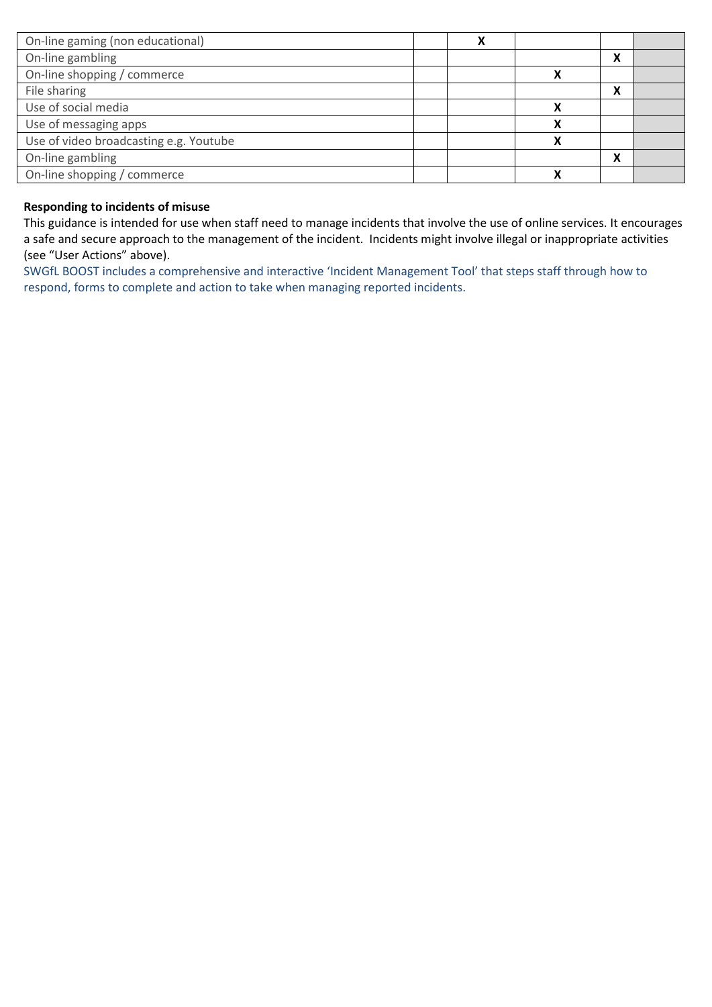| On-line gaming (non educational)       |  |   |        |  |
|----------------------------------------|--|---|--------|--|
| On-line gambling                       |  |   | Λ      |  |
| On-line shopping / commerce            |  |   |        |  |
| File sharing                           |  |   | v<br>Λ |  |
| Use of social media                    |  |   |        |  |
| Use of messaging apps                  |  | X |        |  |
| Use of video broadcasting e.g. Youtube |  | χ |        |  |
| On-line gambling                       |  |   | v      |  |
| On-line shopping / commerce            |  | χ |        |  |

## **Responding to incidents of misuse**

This guidance is intended for use when staff need to manage incidents that involve the use of online services. It encourages a safe and secure approach to the management of the incident. Incidents might involve illegal or inappropriate activities (see "User Actions" above).

SWGfL BOOST includes a comprehensive and interactive 'Incident Management Tool' that steps staff through how to respond, forms to complete and action to take when managing reported incidents.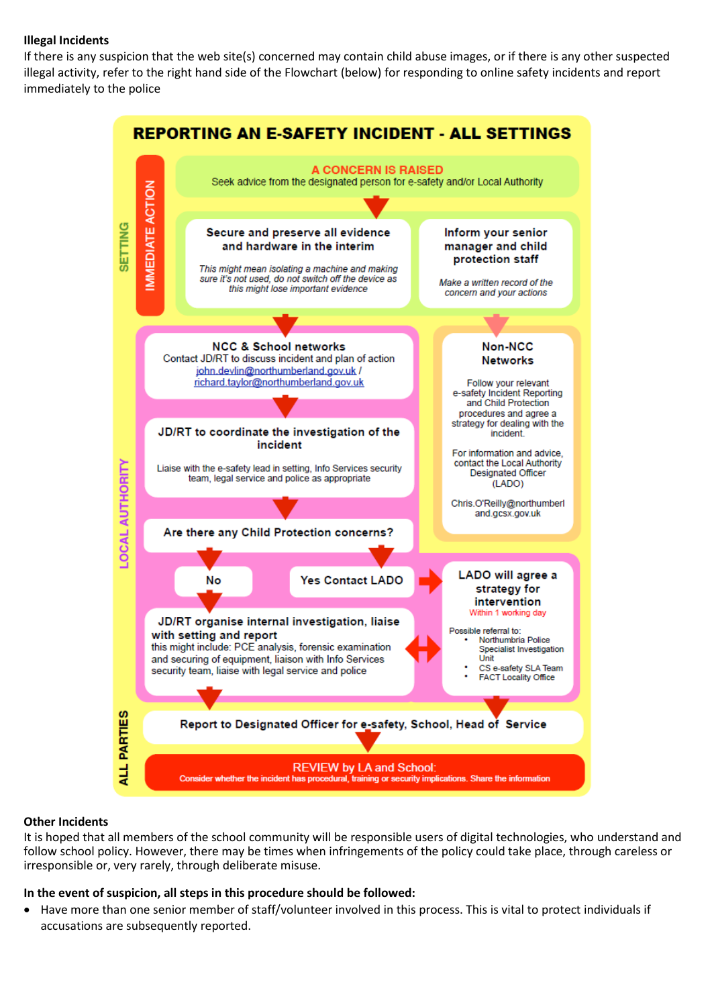## **Illegal Incidents**

If there is any suspicion that the web site(s) concerned may contain child abuse images, or if there is any other suspected illegal activity, refer to the right hand side of the Flowchart (below) for responding to online safety incidents and report immediately to the police



#### **Other Incidents**

It is hoped that all members of the school community will be responsible users of digital technologies, who understand and follow school policy. However, there may be times when infringements of the policy could take place, through careless or irresponsible or, very rarely, through deliberate misuse.

#### **In the event of suspicion, all steps in this procedure should be followed:**

 Have more than one senior member of staff/volunteer involved in this process. This is vital to protect individuals if accusations are subsequently reported.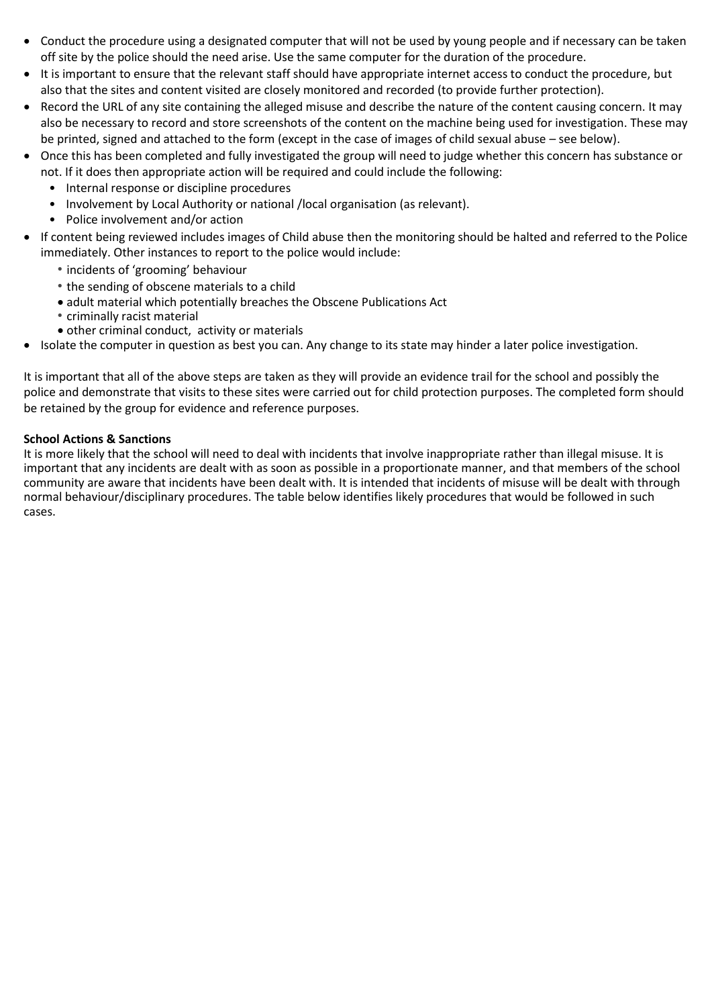- Conduct the procedure using a designated computer that will not be used by young people and if necessary can be taken off site by the police should the need arise. Use the same computer for the duration of the procedure.
- It is important to ensure that the relevant staff should have appropriate internet access to conduct the procedure, but also that the sites and content visited are closely monitored and recorded (to provide further protection).
- Record the URL of any site containing the alleged misuse and describe the nature of the content causing concern. It may also be necessary to record and store screenshots of the content on the machine being used for investigation. These may be printed, signed and attached to the form (except in the case of images of child sexual abuse – see below).
- Once this has been completed and fully investigated the group will need to judge whether this concern has substance or not. If it does then appropriate action will be required and could include the following:
	- Internal response or discipline procedures
	- Involvement by Local Authority or national /local organisation (as relevant).
	- Police involvement and/or action
- If content being reviewed includes images of Child abuse then the monitoring should be halted and referred to the Police immediately. Other instances to report to the police would include:
	- *•* incidents of 'grooming' behaviour
	- *•* the sending of obscene materials to a child
	- adult material which potentially breaches the Obscene Publications Act
	- *•* criminally racist material
	- other criminal conduct, activity or materials
- Isolate the computer in question as best you can. Any change to its state may hinder a later police investigation.

It is important that all of the above steps are taken as they will provide an evidence trail for the school and possibly the police and demonstrate that visits to these sites were carried out for child protection purposes. The completed form should be retained by the group for evidence and reference purposes.

### **School Actions & Sanctions**

It is more likely that the school will need to deal with incidents that involve inappropriate rather than illegal misuse. It is important that any incidents are dealt with as soon as possible in a proportionate manner, and that members of the school community are aware that incidents have been dealt with. It is intended that incidents of misuse will be dealt with through normal behaviour/disciplinary procedures. The table below identifies likely procedures that would be followed in such cases.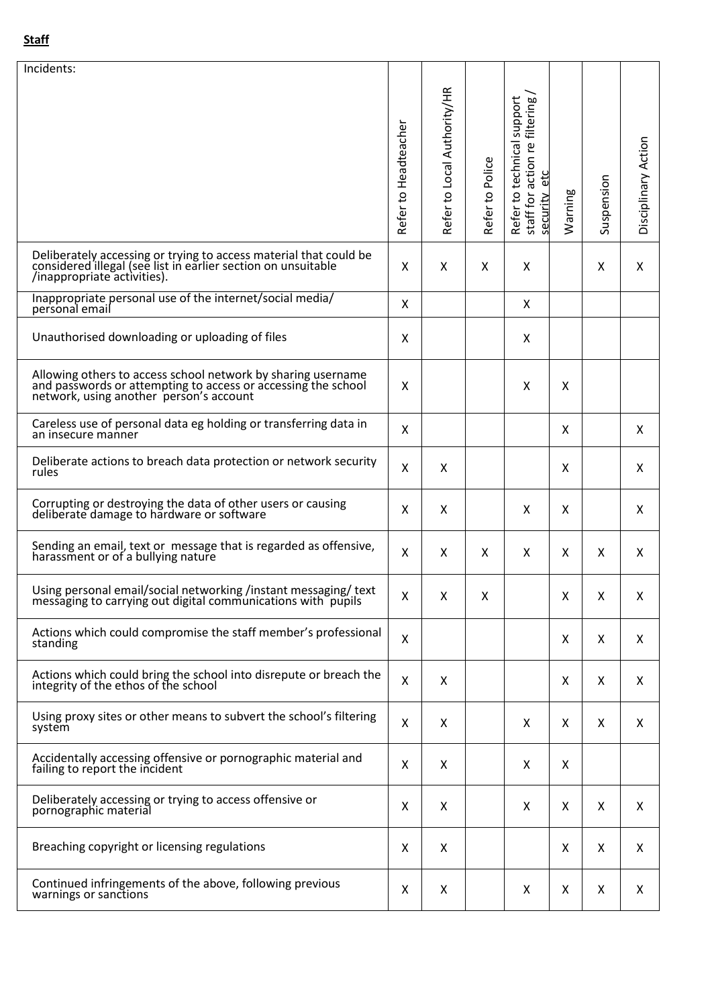| Incidents:                                                                                                                                                               |                      |                             |                    |                                                                                    |         |            |                     |
|--------------------------------------------------------------------------------------------------------------------------------------------------------------------------|----------------------|-----------------------------|--------------------|------------------------------------------------------------------------------------|---------|------------|---------------------|
|                                                                                                                                                                          | Refer to Headteacher | Refer to Local Authority/HR | Police<br>Refer to | Refer to technical support<br>filtering,<br>staff for action re<br>etc<br>security | Warning | Suspension | Disciplinary Action |
| Deliberately accessing or trying to access material that could be<br>considered illegal (see list in earlier section on unsuitable<br>/inappropriate activities).        | X                    | X                           | X                  | Χ                                                                                  |         | X          | X                   |
| Inappropriate personal use of the internet/social media/<br>personal email                                                                                               | X                    |                             |                    | X                                                                                  |         |            |                     |
| Unauthorised downloading or uploading of files                                                                                                                           | X                    |                             |                    | Χ                                                                                  |         |            |                     |
| Allowing others to access school network by sharing username<br>and passwords or attempting to access or accessing the school<br>network, using another person's account | X                    |                             |                    | Χ                                                                                  | X       |            |                     |
| Careless use of personal data eg holding or transferring data in<br>an insecure manner                                                                                   | X                    |                             |                    |                                                                                    | X       |            | X                   |
| Deliberate actions to breach data protection or network security<br>rules                                                                                                | X                    | X                           |                    |                                                                                    | X       |            | X                   |
| Corrupting or destroying the data of other users or causing<br>deliberate damage to hardware or software                                                                 | X                    | X                           |                    | X                                                                                  | X       |            | X                   |
| Sending an email, text or message that is regarded as offensive, harassment or of a bullying nature                                                                      | X                    | X                           | X                  | X                                                                                  | X       | X          | X                   |
| Using personal email/social networking /instant messaging/ text<br>messaging to carrying out digital communications with pupils                                          | $\pmb{\mathsf{X}}$   | Χ                           | Χ                  |                                                                                    | Χ       | Χ          | Χ                   |
| Actions which could compromise the staff member's professional<br>standing                                                                                               | X                    |                             |                    |                                                                                    | X       | X          | X                   |
| Actions which could bring the school into disrepute or breach the<br>integrity of the ethos of the school                                                                | X                    | X                           |                    |                                                                                    | X       | X          | X                   |
| Using proxy sites or other means to subvert the school's filtering<br>system                                                                                             | X                    | X                           |                    | X                                                                                  | X       | X          | X.                  |
| Accidentally accessing offensive or pornographic material and<br>failing to report the incident                                                                          | X                    | Χ                           |                    | X                                                                                  | X       |            |                     |
| Deliberately accessing or trying to access offensive or<br>pornographic material                                                                                         | X                    | Χ                           |                    | Χ                                                                                  | X       | X          | X                   |
| Breaching copyright or licensing regulations                                                                                                                             | X                    | X                           |                    |                                                                                    | X       | X          | X                   |
| Continued infringements of the above, following previous<br>warnings or sanctions                                                                                        | X                    | X                           |                    | X                                                                                  | X       | X          | X                   |